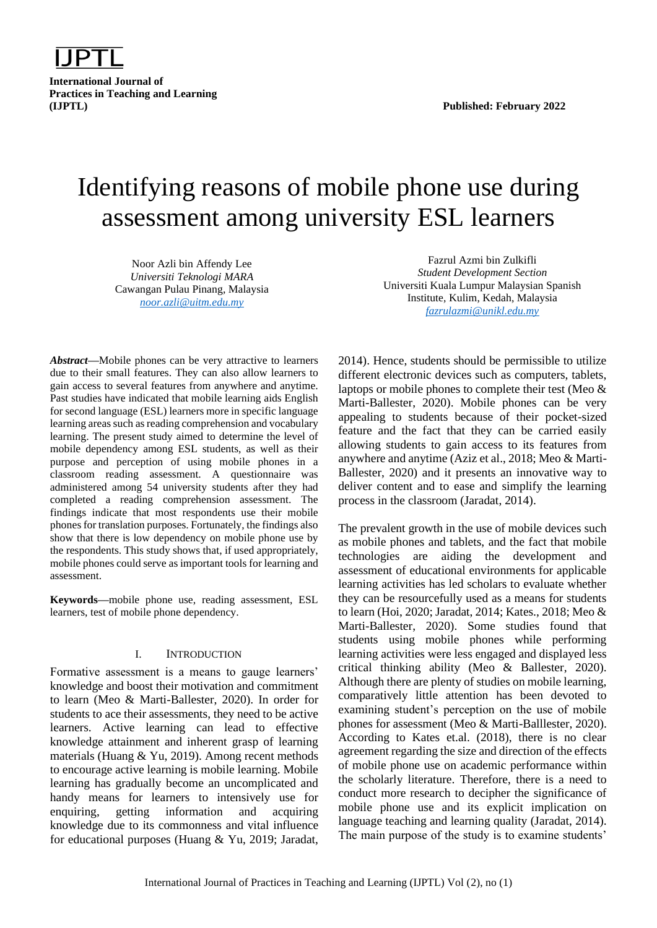

**International Journal of Practices in Teaching and Learning (IJPTL) Published: February 2022**

# Identifying reasons of mobile phone use during assessment among university ESL learners

Noor Azli bin Affendy Lee *Universiti Teknologi MARA* Cawangan Pulau Pinang, Malaysia *[noor.azli@uitm.edu.my](mailto:noor.azli@uitm.edu.my)*

*Abstract***—**Mobile phones can be very attractive to learners due to their small features. They can also allow learners to gain access to several features from anywhere and anytime. Past studies have indicated that mobile learning aids English for second language (ESL) learners more in specific language learning areas such as reading comprehension and vocabulary learning. The present study aimed to determine the level of mobile dependency among ESL students, as well as their purpose and perception of using mobile phones in a classroom reading assessment. A questionnaire was administered among 54 university students after they had completed a reading comprehension assessment. The findings indicate that most respondents use their mobile phones for translation purposes. Fortunately, the findings also show that there is low dependency on mobile phone use by the respondents. This study shows that, if used appropriately, mobile phones could serve as important tools for learning and assessment.

**Keywords—**mobile phone use, reading assessment, ESL learners, test of mobile phone dependency.

#### I. INTRODUCTION

Formative assessment is a means to gauge learners' knowledge and boost their motivation and commitment to learn (Meo & Marti-Ballester, 2020). In order for students to ace their assessments, they need to be active learners. Active learning can lead to effective knowledge attainment and inherent grasp of learning materials (Huang & Yu, 2019). Among recent methods to encourage active learning is mobile learning. Mobile learning has gradually become an uncomplicated and handy means for learners to intensively use for enquiring, getting information and acquiring knowledge due to its commonness and vital influence for educational purposes (Huang & Yu, 2019; Jaradat,

Fazrul Azmi bin Zulkifli *Student Development Section* Universiti Kuala Lumpur Malaysian Spanish Institute, Kulim, Kedah, Malaysia *[fazrulazmi@unikl.edu.my](mailto:fazrulazmi@unikl.edu.my)*

2014). Hence, students should be permissible to utilize different electronic devices such as computers, tablets, laptops or mobile phones to complete their test (Meo & Marti-Ballester, 2020). Mobile phones can be very appealing to students because of their pocket-sized feature and the fact that they can be carried easily allowing students to gain access to its features from anywhere and anytime (Aziz et al., 2018; Meo & Marti-Ballester, 2020) and it presents an innovative way to deliver content and to ease and simplify the learning process in the classroom (Jaradat, 2014).

The prevalent growth in the use of mobile devices such as mobile phones and tablets, and the fact that mobile technologies are aiding the development and assessment of educational environments for applicable learning activities has led scholars to evaluate whether they can be resourcefully used as a means for students to learn (Hoi, 2020; Jaradat, 2014; Kates., 2018; Meo & Marti-Ballester, 2020). Some studies found that students using mobile phones while performing learning activities were less engaged and displayed less critical thinking ability (Meo & Ballester, 2020). Although there are plenty of studies on mobile learning, comparatively little attention has been devoted to examining student's perception on the use of mobile phones for assessment (Meo & Marti-Balllester, 2020). According to Kates et.al. (2018), there is no clear agreement regarding the size and direction of the effects of mobile phone use on academic performance within the scholarly literature. Therefore, there is a need to conduct more research to decipher the significance of mobile phone use and its explicit implication on language teaching and learning quality (Jaradat, 2014). The main purpose of the study is to examine students'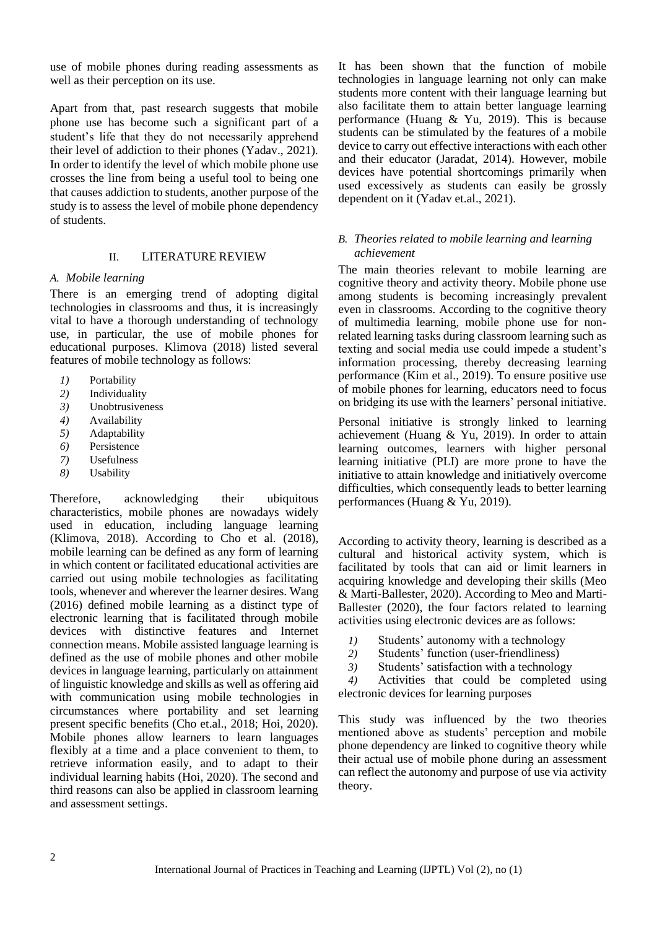use of mobile phones during reading assessments as well as their perception on its use.

Apart from that, past research suggests that mobile phone use has become such a significant part of a student's life that they do not necessarily apprehend their level of addiction to their phones (Yadav., 2021). In order to identify the level of which mobile phone use crosses the line from being a useful tool to being one that causes addiction to students, another purpose of the study is to assess the level of mobile phone dependency of students.

#### II. LITERATURE REVIEW

#### *A. Mobile learning*

There is an emerging trend of adopting digital technologies in classrooms and thus, it is increasingly vital to have a thorough understanding of technology use, in particular, the use of mobile phones for educational purposes. Klimova (2018) listed several features of mobile technology as follows:

- *1)* Portability
- *2)* Individuality
- *3)* Unobtrusiveness
- *4)* Availability
- *5)* Adaptability
- *6)* Persistence
- *7)* Usefulness
- *8)* Usability

Therefore, acknowledging their ubiquitous characteristics, mobile phones are nowadays widely used in education, including language learning (Klimova, 2018). According to Cho et al. (2018), mobile learning can be defined as any form of learning in which content or facilitated educational activities are carried out using mobile technologies as facilitating tools, whenever and wherever the learner desires. Wang (2016) defined mobile learning as a distinct type of electronic learning that is facilitated through mobile devices with distinctive features and Internet connection means. Mobile assisted language learning is defined as the use of mobile phones and other mobile devices in language learning, particularly on attainment of linguistic knowledge and skills as well as offering aid with communication using mobile technologies in circumstances where portability and set learning present specific benefits (Cho et.al., 2018; Hoi, 2020). Mobile phones allow learners to learn languages flexibly at a time and a place convenient to them, to retrieve information easily, and to adapt to their individual learning habits (Hoi, 2020). The second and third reasons can also be applied in classroom learning and assessment settings.

It has been shown that the function of mobile technologies in language learning not only can make students more content with their language learning but also facilitate them to attain better language learning performance (Huang & Yu, 2019). This is because students can be stimulated by the features of a mobile device to carry out effective interactions with each other and their educator (Jaradat, 2014). However, mobile devices have potential shortcomings primarily when used excessively as students can easily be grossly dependent on it (Yadav et.al., 2021).

### *B. Theories related to mobile learning and learning achievement*

The main theories relevant to mobile learning are cognitive theory and activity theory. Mobile phone use among students is becoming increasingly prevalent even in classrooms. According to the cognitive theory of multimedia learning, mobile phone use for nonrelated learning tasks during classroom learning such as texting and social media use could impede a student's information processing, thereby decreasing learning performance (Kim et al., 2019). To ensure positive use of mobile phones for learning, educators need to focus on bridging its use with the learners' personal initiative.

Personal initiative is strongly linked to learning achievement (Huang & Yu, 2019). In order to attain learning outcomes, learners with higher personal learning initiative (PLI) are more prone to have the initiative to attain knowledge and initiatively overcome difficulties, which consequently leads to better learning performances (Huang & Yu, 2019).

According to activity theory, learning is described as a cultural and historical activity system, which is facilitated by tools that can aid or limit learners in acquiring knowledge and developing their skills (Meo & Marti-Ballester, 2020). According to Meo and Marti-Ballester (2020), the four factors related to learning activities using electronic devices are as follows:

- *1)* Students' autonomy with a technology
- *2)* Students' function (user-friendliness)
- *3)* Students' satisfaction with a technology

*4)* Activities that could be completed using electronic devices for learning purposes

This study was influenced by the two theories mentioned above as students' perception and mobile phone dependency are linked to cognitive theory while their actual use of mobile phone during an assessment can reflect the autonomy and purpose of use via activity theory.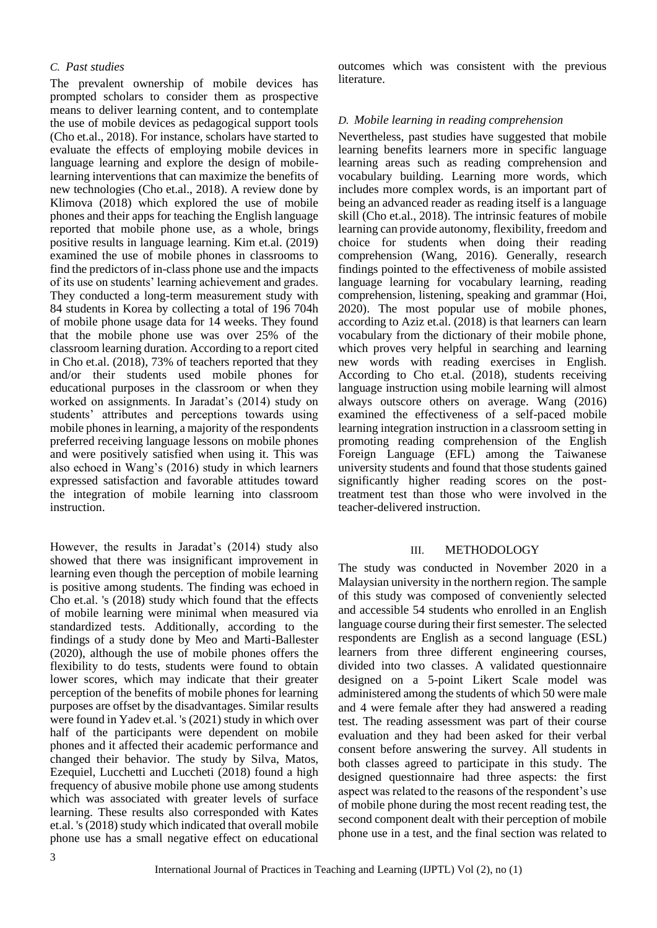### *C. Past studies*

The prevalent ownership of mobile devices has prompted scholars to consider them as prospective means to deliver learning content, and to contemplate the use of mobile devices as pedagogical support tools (Cho et.al., 2018). For instance, scholars have started to evaluate the effects of employing mobile devices in language learning and explore the design of mobilelearning interventions that can maximize the benefits of new technologies (Cho et.al., 2018). A review done by Klimova (2018) which explored the use of mobile phones and their apps for teaching the English language reported that mobile phone use, as a whole, brings positive results in language learning. Kim et.al. (2019) examined the use of mobile phones in classrooms to find the predictors of in-class phone use and the impacts of its use on students' learning achievement and grades. They conducted a long-term measurement study with 84 students in Korea by collecting a total of 196 704h of mobile phone usage data for 14 weeks. They found that the mobile phone use was over 25% of the classroom learning duration. According to a report cited in Cho et.al. (2018), 73% of teachers reported that they and/or their students used mobile phones for educational purposes in the classroom or when they worked on assignments. In Jaradat's (2014) study on students' attributes and perceptions towards using mobile phones in learning, a majority of the respondents preferred receiving language lessons on mobile phones and were positively satisfied when using it. This was also echoed in Wang's (2016) study in which learners expressed satisfaction and favorable attitudes toward the integration of mobile learning into classroom instruction.

However, the results in Jaradat's (2014) study also showed that there was insignificant improvement in learning even though the perception of mobile learning is positive among students. The finding was echoed in Cho et.al. 's (2018) study which found that the effects of mobile learning were minimal when measured via standardized tests. Additionally, according to the findings of a study done by Meo and Marti-Ballester (2020), although the use of mobile phones offers the flexibility to do tests, students were found to obtain lower scores, which may indicate that their greater perception of the benefits of mobile phones for learning purposes are offset by the disadvantages. Similar results were found in Yadev et.al. 's (2021) study in which over half of the participants were dependent on mobile phones and it affected their academic performance and changed their behavior. The study by Silva, Matos, Ezequiel, Lucchetti and Luccheti (2018) found a high frequency of abusive mobile phone use among students which was associated with greater levels of surface learning. These results also corresponded with Kates et.al. 's (2018) study which indicated that overall mobile phone use has a small negative effect on educational

outcomes which was consistent with the previous literature.

#### *D. Mobile learning in reading comprehension*

Nevertheless, past studies have suggested that mobile learning benefits learners more in specific language learning areas such as reading comprehension and vocabulary building. Learning more words, which includes more complex words, is an important part of being an advanced reader as reading itself is a language skill (Cho et.al., 2018). The intrinsic features of mobile learning can provide autonomy, flexibility, freedom and choice for students when doing their reading comprehension (Wang, 2016). Generally, research findings pointed to the effectiveness of mobile assisted language learning for vocabulary learning, reading comprehension, listening, speaking and grammar (Hoi, 2020). The most popular use of mobile phones, according to Aziz et.al. (2018) is that learners can learn vocabulary from the dictionary of their mobile phone, which proves very helpful in searching and learning new words with reading exercises in English. According to Cho et.al. (2018), students receiving language instruction using mobile learning will almost always outscore others on average. Wang (2016) examined the effectiveness of a self-paced mobile learning integration instruction in a classroom setting in promoting reading comprehension of the English Foreign Language (EFL) among the Taiwanese university students and found that those students gained significantly higher reading scores on the posttreatment test than those who were involved in the teacher-delivered instruction.

#### III. METHODOLOGY

The study was conducted in November 2020 in a Malaysian university in the northern region. The sample of this study was composed of conveniently selected and accessible 54 students who enrolled in an English language course during their first semester. The selected respondents are English as a second language (ESL) learners from three different engineering courses, divided into two classes. A validated questionnaire designed on a 5-point Likert Scale model was administered among the students of which 50 were male and 4 were female after they had answered a reading test. The reading assessment was part of their course evaluation and they had been asked for their verbal consent before answering the survey. All students in both classes agreed to participate in this study. The designed questionnaire had three aspects: the first aspect was related to the reasons of the respondent's use of mobile phone during the most recent reading test, the second component dealt with their perception of mobile phone use in a test, and the final section was related to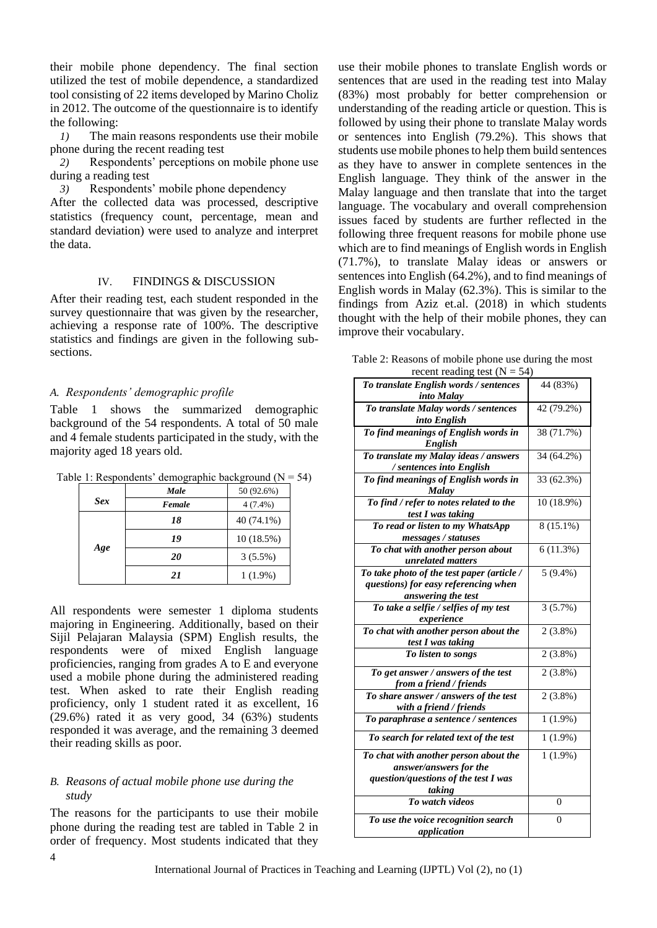their mobile phone dependency. The final section utilized the test of mobile dependence, a standardized tool consisting of 22 items developed by Marino Choliz in 2012. The outcome of the questionnaire is to identify the following:

*1)* The main reasons respondents use their mobile phone during the recent reading test

*2)* Respondents' perceptions on mobile phone use during a reading test

*3)* Respondents' mobile phone dependency

After the collected data was processed, descriptive statistics (frequency count, percentage, mean and standard deviation) were used to analyze and interpret the data.

#### IV. FINDINGS & DISCUSSION

After their reading test, each student responded in the survey questionnaire that was given by the researcher, achieving a response rate of 100%. The descriptive statistics and findings are given in the following subsections.

# *A. Respondents' demographic profile*

Table 1 shows the summarized demographic background of the 54 respondents. A total of 50 male and 4 female students participated in the study, with the majority aged 18 years old.

|            | Male   | 50 (92.6%) |
|------------|--------|------------|
| <b>Sex</b> | Female | $4(7.4\%)$ |
| Age        | 18     | 40 (74.1%) |
|            | 19     | 10(18.5%)  |
|            | 20     | $3(5.5\%)$ |
|            | 21     | $1(1.9\%)$ |

|  | Table 1: Respondents' demographic background ( $N = 54$ ) |  |  |  |
|--|-----------------------------------------------------------|--|--|--|
|  |                                                           |  |  |  |

All respondents were semester 1 diploma students majoring in Engineering. Additionally, based on their Sijil Pelajaran Malaysia (SPM) English results, the respondents were of mixed English language proficiencies, ranging from grades A to E and everyone used a mobile phone during the administered reading test. When asked to rate their English reading proficiency, only 1 student rated it as excellent, 16  $(29.6\%)$  rated it as very good, 34  $(63\%)$  students responded it was average, and the remaining 3 deemed their reading skills as poor.

## *B. Reasons of actual mobile phone use during the study*

The reasons for the participants to use their mobile phone during the reading test are tabled in Table 2 in order of frequency. Most students indicated that they

use their mobile phones to translate English words or sentences that are used in the reading test into Malay (83%) most probably for better comprehension or understanding of the reading article or question. This is followed by using their phone to translate Malay words or sentences into English (79.2%). This shows that students use mobile phones to help them build sentences as they have to answer in complete sentences in the English language. They think of the answer in the Malay language and then translate that into the target language. The vocabulary and overall comprehension issues faced by students are further reflected in the following three frequent reasons for mobile phone use which are to find meanings of English words in English (71.7%), to translate Malay ideas or answers or sentences into English (64.2%), and to find meanings of English words in Malay (62.3%). This is similar to the findings from Aziz et.al. (2018) in which students thought with the help of their mobile phones, they can improve their vocabulary.

| Table 2: Reasons of mobile phone use during the most |  |
|------------------------------------------------------|--|
| recent reading test ( $N = 54$ )                     |  |

| recent reading test $(N = 54)$                       |            |  |  |  |
|------------------------------------------------------|------------|--|--|--|
| To translate English words / sentences               | 44 (83%)   |  |  |  |
| into Malay                                           |            |  |  |  |
| To translate Malay words / sentences                 | 42 (79.2%) |  |  |  |
| into English                                         |            |  |  |  |
| To find meanings of English words in<br>English      | 38 (71.7%) |  |  |  |
| To translate my Malay ideas / answers                | 34 (64.2%) |  |  |  |
| / sentences into English                             |            |  |  |  |
| To find meanings of English words in<br><b>Malay</b> | 33 (62.3%) |  |  |  |
| To find / refer to notes related to the              | 10 (18.9%) |  |  |  |
| test I was taking                                    |            |  |  |  |
| To read or listen to my WhatsApp                     | 8 (15.1%)  |  |  |  |
| messages / statuses                                  |            |  |  |  |
| To chat with another person about                    | 6(11.3%)   |  |  |  |
| unrelated matters                                    |            |  |  |  |
| To take photo of the test paper (article /           | $5(9.4\%)$ |  |  |  |
| questions) for easy referencing when                 |            |  |  |  |
| answering the test                                   |            |  |  |  |
| To take a selfie / selfies of my test                | 3(5.7%)    |  |  |  |
| experience                                           |            |  |  |  |
| To chat with another person about the                | $2(3.8\%)$ |  |  |  |
| test I was taking                                    |            |  |  |  |
| To listen to songs                                   | $2(3.8\%)$ |  |  |  |
| To get answer / answers of the test                  | $2(3.8\%)$ |  |  |  |
| from a friend / friends                              |            |  |  |  |
| To share answer / answers of the test                | $2(3.8\%)$ |  |  |  |
| with a friend / friends                              |            |  |  |  |
| To paraphrase a sentence / sentences                 | $1(1.9\%)$ |  |  |  |
| To search for related text of the test               | $1(1.9\%)$ |  |  |  |
| To chat with another person about the                | $1(1.9\%)$ |  |  |  |
| answer/answers for the                               |            |  |  |  |
| question/questions of the test I was                 |            |  |  |  |
| taking                                               |            |  |  |  |
| To watch videos                                      | 0          |  |  |  |
| To use the voice recognition search                  | 0          |  |  |  |
| application                                          |            |  |  |  |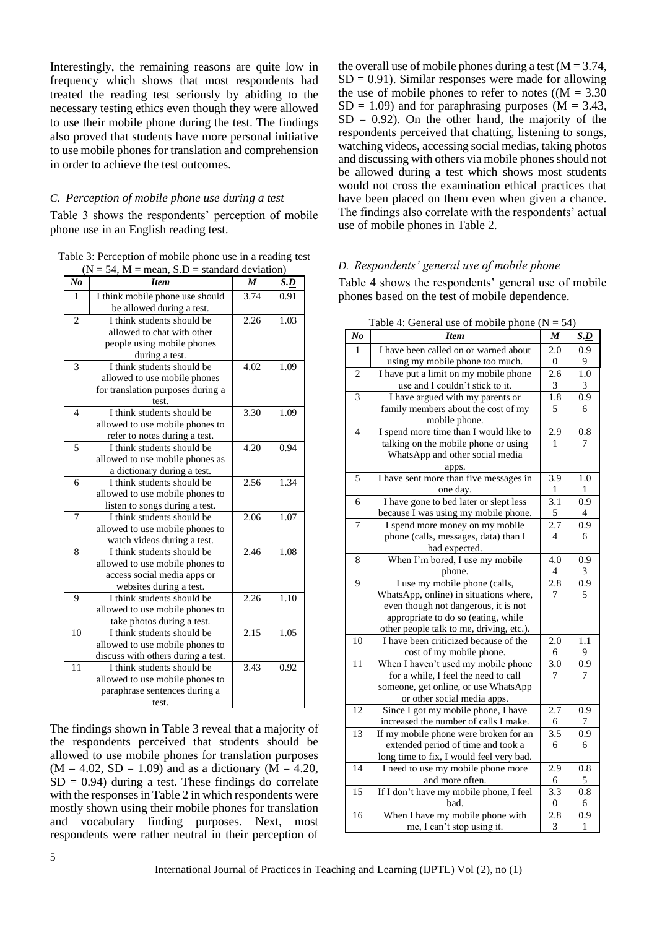Interestingly, the remaining reasons are quite low in frequency which shows that most respondents had treated the reading test seriously by abiding to the necessary testing ethics even though they were allowed to use their mobile phone during the test. The findings also proved that students have more personal initiative to use mobile phones for translation and comprehension in order to achieve the test outcomes.

# *C. Perception of mobile phone use during a test*

Table 3 shows the respondents' perception of mobile phone use in an English reading test.

Table 3: Perception of mobile phone use in a reading test  $(N = 54, M =$  mean,  $S.D =$  standard deviation)

| N <sub>o</sub> | <b>Item</b>                        | $\boldsymbol{M}$ | S.D  |
|----------------|------------------------------------|------------------|------|
| 1              | I think mobile phone use should    | 3.74             | 0.91 |
|                | be allowed during a test.          |                  |      |
| 2              | I think students should be         | 2.26             | 1.03 |
|                | allowed to chat with other         |                  |      |
|                | people using mobile phones         |                  |      |
|                | during a test.                     |                  |      |
| 3              | I think students should be         | 4.02             | 1.09 |
|                | allowed to use mobile phones       |                  |      |
|                | for translation purposes during a  |                  |      |
|                | test.                              |                  |      |
| $\overline{4}$ | I think students should be         | 3.30             | 1.09 |
|                | allowed to use mobile phones to    |                  |      |
|                | refer to notes during a test.      |                  |      |
| 5              | I think students should be         | 4.20             | 0.94 |
|                | allowed to use mobile phones as    |                  |      |
|                | a dictionary during a test.        |                  |      |
| 6              | I think students should be         | 2.56             | 1.34 |
|                | allowed to use mobile phones to    |                  |      |
|                | listen to songs during a test.     |                  |      |
| 7              | I think students should be         | 2.06             | 1.07 |
|                | allowed to use mobile phones to    |                  |      |
|                | watch videos during a test.        |                  |      |
| 8              | I think students should be         | 2.46             | 1.08 |
|                | allowed to use mobile phones to    |                  |      |
|                | access social media apps or        |                  |      |
|                | websites during a test.            |                  |      |
| 9              | I think students should be         | 2.26             | 1.10 |
|                | allowed to use mobile phones to    |                  |      |
|                | take photos during a test.         |                  |      |
| 10             | I think students should be         | 2.15             | 1.05 |
|                | allowed to use mobile phones to    |                  |      |
|                | discuss with others during a test. |                  |      |
| 11             | I think students should be         | 3.43             | 0.92 |
|                | allowed to use mobile phones to    |                  |      |
|                | paraphrase sentences during a      |                  |      |
|                | test.                              |                  |      |

The findings shown in Table 3 reveal that a majority of the respondents perceived that students should be allowed to use mobile phones for translation purposes  $(M = 4.02, SD = 1.09)$  and as a dictionary  $(M = 4.20,$  $SD = 0.94$ ) during a test. These findings do correlate with the responses in Table 2 in which respondents were mostly shown using their mobile phones for translation and vocabulary finding purposes. Next, most respondents were rather neutral in their perception of

the overall use of mobile phones during a test  $(M = 3.74,$  $SD = 0.91$ . Similar responses were made for allowing the use of mobile phones to refer to notes  $((M = 3.30)$  $SD = 1.09$ ) and for paraphrasing purposes (M = 3.43,  $SD = 0.92$ ). On the other hand, the majority of the respondents perceived that chatting, listening to songs, watching videos, accessing social medias, taking photos and discussing with others via mobile phones should not be allowed during a test which shows most students would not cross the examination ethical practices that have been placed on them even when given a chance. The findings also correlate with the respondents' actual use of mobile phones in Table 2.

#### *D. Respondents' general use of mobile phone*

Table 4 shows the respondents' general use of mobile phones based on the test of mobile dependence.

| N <sub>o</sub> | raone +. Octional ase of moothe phone<br><b>Item</b>                              | $\boldsymbol{M}$ | S.D            |
|----------------|-----------------------------------------------------------------------------------|------------------|----------------|
| $\mathbf{1}$   | I have been called on or warned about                                             | 2.0              | 0.9            |
|                | using my mobile phone too much.                                                   | $\boldsymbol{0}$ | 9              |
| $\overline{c}$ | I have put a limit on my mobile phone                                             | 2.6              | $1.0\,$        |
|                | use and I couldn't stick to it.                                                   | 3                | 3              |
| 3              | I have argued with my parents or                                                  | 1.8              | 0.9            |
|                | family members about the cost of my                                               | 5                | 6              |
|                | mobile phone.                                                                     |                  |                |
| $\overline{4}$ | I spend more time than I would like to                                            | 2.9              | 0.8            |
|                | talking on the mobile phone or using                                              | 1                | 7              |
|                | WhatsApp and other social media                                                   |                  |                |
|                | apps.                                                                             |                  |                |
| 5              | I have sent more than five messages in                                            | 3.9              | 1.0            |
|                | one day.                                                                          | 1                | 1              |
| 6              | I have gone to bed later or slept less                                            | $\overline{3.1}$ | 0.9            |
|                | because I was using my mobile phone.                                              | 5                | $\overline{4}$ |
| 7              | I spend more money on my mobile                                                   | 2.7              | 0.9            |
|                | phone (calls, messages, data) than I                                              | $\overline{4}$   | 6              |
|                | had expected.                                                                     |                  |                |
| 8              | When I'm bored, I use my mobile                                                   | 4.0              | 0.9            |
|                | phone.                                                                            | $\overline{4}$   | 3              |
| 9              | I use my mobile phone (calls,                                                     | 2.8              | 0.9            |
|                | WhatsApp, online) in situations where,                                            | 7                | 5              |
|                | even though not dangerous, it is not                                              |                  |                |
|                | appropriate to do so (eating, while                                               |                  |                |
| 10             | other people talk to me, driving, etc.).<br>I have been criticized because of the | 2.0              | 1.1            |
|                | cost of my mobile phone.                                                          | 6                | 9              |
| 11             | When I haven't used my mobile phone                                               | 3.0              | 0.9            |
|                | for a while, I feel the need to call                                              | 7                | 7              |
|                | someone, get online, or use WhatsApp                                              |                  |                |
|                | or other social media apps.                                                       |                  |                |
| 12             | Since I got my mobile phone, I have                                               | 2.7              | 0.9            |
|                | increased the number of calls I make.                                             | 6                | 7              |
| 13             | If my mobile phone were broken for an                                             | 3.5              | 0.9            |
|                | extended period of time and took a                                                | 6                | 6              |
|                | long time to fix, I would feel very bad.                                          |                  |                |
| 14             | I need to use my mobile phone more                                                | 2.9              | 0.8            |
|                | and more often.                                                                   | 6                | $\sqrt{5}$     |
| 15             | If I don't have my mobile phone, I feel                                           | 3.3              | 0.8            |
|                | bad.                                                                              | $\Omega$         | 6              |
| 16             | When I have my mobile phone with                                                  | 2.8              | 0.9            |
|                | me, I can't stop using it.                                                        | $\overline{3}$   | $\,1$          |

Table 4: General use of mobile phone  $(N - 54)$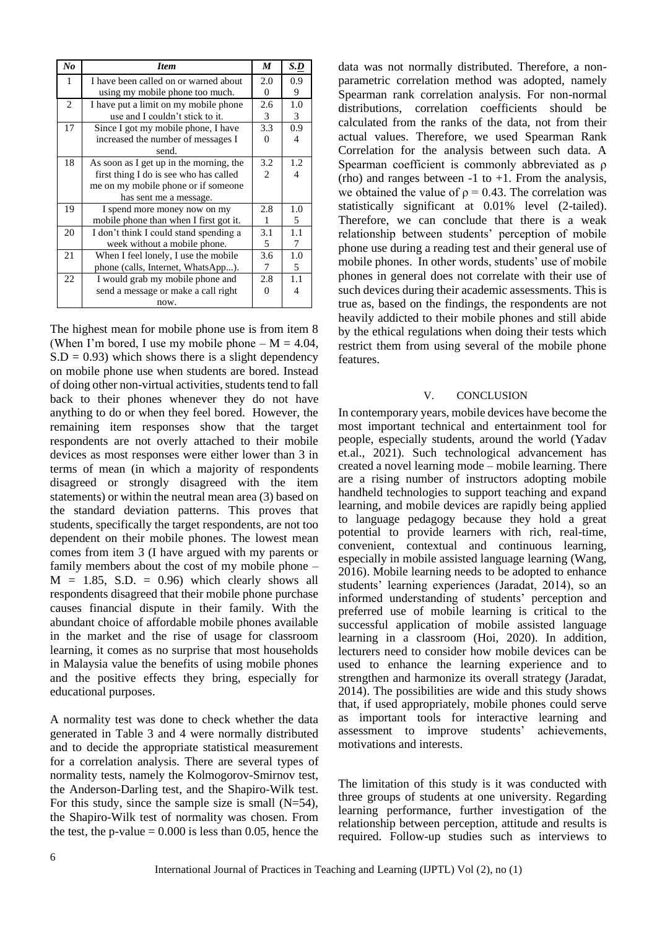| $N_{0}$ | <b>Item</b>                             | M              | S.D |
|---------|-----------------------------------------|----------------|-----|
| 1       | I have been called on or warned about   | 2.0            | 0.9 |
|         | using my mobile phone too much.         | $\theta$       | 9   |
| 2       | I have put a limit on my mobile phone   | 2.6            | 1.0 |
|         | use and I couldn't stick to it.         | 3              | 3   |
| 17      | Since I got my mobile phone, I have     | 3.3            | 0.9 |
|         | increased the number of messages I      | 0              | 4   |
|         | send.                                   |                |     |
| 18      | As soon as I get up in the morning, the | 3.2            | 1.2 |
|         | first thing I do is see who has called  | $\mathfrak{D}$ | 4   |
|         | me on my mobile phone or if someone     |                |     |
|         | has sent me a message.                  |                |     |
| 19      | I spend more money now on my            | 2.8            | 1.0 |
|         | mobile phone than when I first got it.  | 1              | 5   |
| 20      | I don't think I could stand spending a  | 3.1            | 1.1 |
|         | week without a mobile phone.            | 5              | 7   |
| 21      | When I feel lonely, I use the mobile    | 3.6            | 1.0 |
|         | phone (calls, Internet, WhatsApp).      | 7              | 5   |
| 22      | I would grab my mobile phone and        | 2.8            | 1.1 |
|         | send a message or make a call right     | 0              | 4   |
|         | now.                                    |                |     |

The highest mean for mobile phone use is from item 8 (When I'm bored, I use my mobile phone  $- M = 4.04$ ,  $S.D = 0.93$ ) which shows there is a slight dependency on mobile phone use when students are bored. Instead of doing other non-virtual activities, students tend to fall back to their phones whenever they do not have anything to do or when they feel bored. However, the remaining item responses show that the target respondents are not overly attached to their mobile devices as most responses were either lower than 3 in terms of mean (in which a majority of respondents disagreed or strongly disagreed with the item statements) or within the neutral mean area (3) based on the standard deviation patterns. This proves that students, specifically the target respondents, are not too dependent on their mobile phones. The lowest mean comes from item 3 (I have argued with my parents or family members about the cost of my mobile phone –  $M = 1.85$ , S.D. = 0.96) which clearly shows all respondents disagreed that their mobile phone purchase causes financial dispute in their family. With the abundant choice of affordable mobile phones available in the market and the rise of usage for classroom learning, it comes as no surprise that most households in Malaysia value the benefits of using mobile phones and the positive effects they bring, especially for educational purposes.

A normality test was done to check whether the data generated in Table 3 and 4 were normally distributed and to decide the appropriate statistical measurement for a correlation analysis. There are several types of normality tests, namely the Kolmogorov-Smirnov test, the Anderson-Darling test, and the Shapiro-Wilk test. For this study, since the sample size is small  $(N=54)$ , the Shapiro-Wilk test of normality was chosen. From the test, the p-value  $= 0.000$  is less than 0.05, hence the

data was not normally distributed. Therefore, a nonparametric correlation method was adopted, namely Spearman rank correlation analysis. For non-normal distributions, correlation coefficients should be calculated from the ranks of the data, not from their actual values. Therefore, we used Spearman Rank Correlation for the analysis between such data. A Spearman coefficient is commonly abbreviated as ρ (rho) and ranges between  $-1$  to  $+1$ . From the analysis, we obtained the value of  $\rho = 0.43$ . The correlation was statistically significant at 0.01% level (2-tailed). Therefore, we can conclude that there is a weak relationship between students' perception of mobile phone use during a reading test and their general use of mobile phones. In other words, students' use of mobile phones in general does not correlate with their use of such devices during their academic assessments. This is true as, based on the findings, the respondents are not heavily addicted to their mobile phones and still abide by the ethical regulations when doing their tests which restrict them from using several of the mobile phone features.

#### V. CONCLUSION

In contemporary years, mobile devices have become the most important technical and entertainment tool for people, especially students, around the world (Yadav et.al., 2021). Such technological advancement has created a novel learning mode – mobile learning. There are a rising number of instructors adopting mobile handheld technologies to support teaching and expand learning, and mobile devices are rapidly being applied to language pedagogy because they hold a great potential to provide learners with rich, real-time, convenient, contextual and continuous learning, especially in mobile assisted language learning (Wang, 2016). Mobile learning needs to be adopted to enhance students' learning experiences (Jaradat, 2014), so an informed understanding of students' perception and preferred use of mobile learning is critical to the successful application of mobile assisted language learning in a classroom (Hoi, 2020). In addition, lecturers need to consider how mobile devices can be used to enhance the learning experience and to strengthen and harmonize its overall strategy (Jaradat, 2014). The possibilities are wide and this study shows that, if used appropriately, mobile phones could serve as important tools for interactive learning and assessment to improve students' achievements, motivations and interests.

The limitation of this study is it was conducted with three groups of students at one university. Regarding learning performance, further investigation of the relationship between perception, attitude and results is required. Follow-up studies such as interviews to